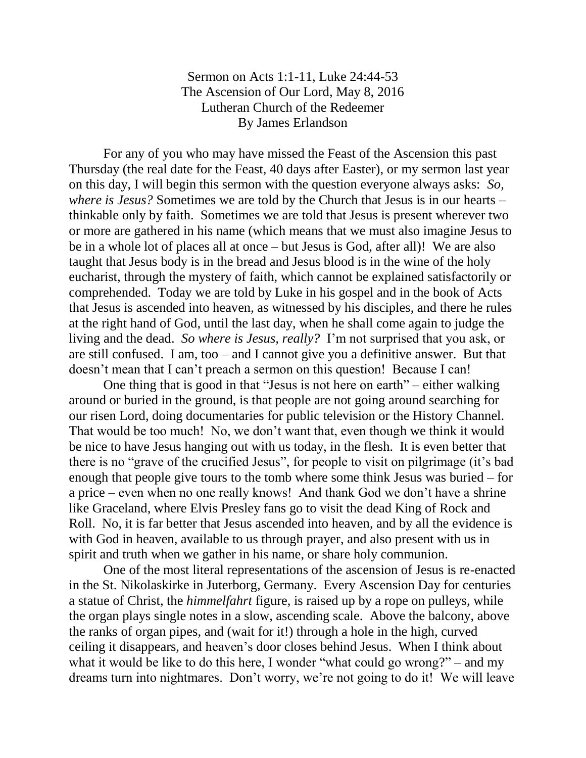## Sermon on Acts 1:1-11, Luke 24:44-53 The Ascension of Our Lord, May 8, 2016 Lutheran Church of the Redeemer By James Erlandson

For any of you who may have missed the Feast of the Ascension this past Thursday (the real date for the Feast, 40 days after Easter), or my sermon last year on this day, I will begin this sermon with the question everyone always asks: *So, where is Jesus?* Sometimes we are told by the Church that Jesus is in our hearts – thinkable only by faith. Sometimes we are told that Jesus is present wherever two or more are gathered in his name (which means that we must also imagine Jesus to be in a whole lot of places all at once – but Jesus is God, after all)! We are also taught that Jesus body is in the bread and Jesus blood is in the wine of the holy eucharist, through the mystery of faith, which cannot be explained satisfactorily or comprehended. Today we are told by Luke in his gospel and in the book of Acts that Jesus is ascended into heaven, as witnessed by his disciples, and there he rules at the right hand of God, until the last day, when he shall come again to judge the living and the dead. *So where is Jesus, really?* I'm not surprised that you ask, or are still confused. I am, too – and I cannot give you a definitive answer. But that doesn't mean that I can't preach a sermon on this question! Because I can!

One thing that is good in that "Jesus is not here on earth" – either walking around or buried in the ground, is that people are not going around searching for our risen Lord, doing documentaries for public television or the History Channel. That would be too much! No, we don't want that, even though we think it would be nice to have Jesus hanging out with us today, in the flesh. It is even better that there is no "grave of the crucified Jesus", for people to visit on pilgrimage (it's bad enough that people give tours to the tomb where some think Jesus was buried – for a price – even when no one really knows! And thank God we don't have a shrine like Graceland, where Elvis Presley fans go to visit the dead King of Rock and Roll. No, it is far better that Jesus ascended into heaven, and by all the evidence is with God in heaven, available to us through prayer, and also present with us in spirit and truth when we gather in his name, or share holy communion.

One of the most literal representations of the ascension of Jesus is re-enacted in the St. Nikolaskirke in Juterborg, Germany. Every Ascension Day for centuries a statue of Christ, the *himmelfahrt* figure, is raised up by a rope on pulleys, while the organ plays single notes in a slow, ascending scale. Above the balcony, above the ranks of organ pipes, and (wait for it!) through a hole in the high, curved ceiling it disappears, and heaven's door closes behind Jesus. When I think about what it would be like to do this here, I wonder "what could go wrong?" – and my dreams turn into nightmares. Don't worry, we're not going to do it! We will leave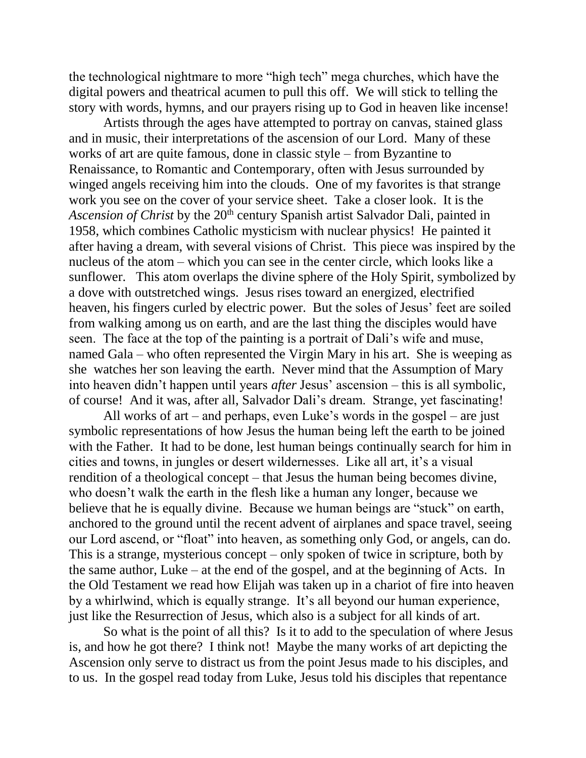the technological nightmare to more "high tech" mega churches, which have the digital powers and theatrical acumen to pull this off. We will stick to telling the story with words, hymns, and our prayers rising up to God in heaven like incense!

Artists through the ages have attempted to portray on canvas, stained glass and in music, their interpretations of the ascension of our Lord. Many of these works of art are quite famous, done in classic style – from Byzantine to Renaissance, to Romantic and Contemporary, often with Jesus surrounded by winged angels receiving him into the clouds. One of my favorites is that strange work you see on the cover of your service sheet. Take a closer look. It is the *Ascension of Christ* by the 20<sup>th</sup> century Spanish artist Salvador Dali, painted in 1958, which combines Catholic mysticism with nuclear physics! He painted it after having a dream, with several visions of Christ. This piece was inspired by the nucleus of the atom – which you can see in the center circle, which looks like a sunflower. This atom overlaps the divine sphere of the Holy Spirit, symbolized by a dove with outstretched wings. Jesus rises toward an energized, electrified heaven, his fingers curled by electric power. But the soles of Jesus' feet are soiled from walking among us on earth, and are the last thing the disciples would have seen. The face at the top of the painting is a portrait of Dali's wife and muse, named Gala – who often represented the Virgin Mary in his art. She is weeping as she watches her son leaving the earth. Never mind that the Assumption of Mary into heaven didn't happen until years *after* Jesus' ascension – this is all symbolic, of course! And it was, after all, Salvador Dali's dream. Strange, yet fascinating!

All works of art – and perhaps, even Luke's words in the gospel – are just symbolic representations of how Jesus the human being left the earth to be joined with the Father. It had to be done, lest human beings continually search for him in cities and towns, in jungles or desert wildernesses. Like all art, it's a visual rendition of a theological concept – that Jesus the human being becomes divine, who doesn't walk the earth in the flesh like a human any longer, because we believe that he is equally divine. Because we human beings are "stuck" on earth, anchored to the ground until the recent advent of airplanes and space travel, seeing our Lord ascend, or "float" into heaven, as something only God, or angels, can do. This is a strange, mysterious concept – only spoken of twice in scripture, both by the same author, Luke – at the end of the gospel, and at the beginning of Acts. In the Old Testament we read how Elijah was taken up in a chariot of fire into heaven by a whirlwind, which is equally strange. It's all beyond our human experience, just like the Resurrection of Jesus, which also is a subject for all kinds of art.

So what is the point of all this? Is it to add to the speculation of where Jesus is, and how he got there? I think not! Maybe the many works of art depicting the Ascension only serve to distract us from the point Jesus made to his disciples, and to us. In the gospel read today from Luke, Jesus told his disciples that repentance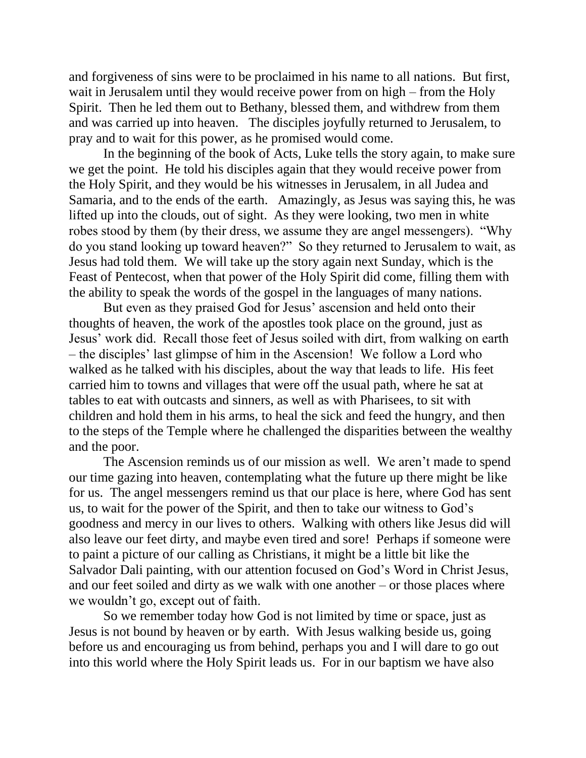and forgiveness of sins were to be proclaimed in his name to all nations. But first, wait in Jerusalem until they would receive power from on high – from the Holy Spirit. Then he led them out to Bethany, blessed them, and withdrew from them and was carried up into heaven. The disciples joyfully returned to Jerusalem, to pray and to wait for this power, as he promised would come.

In the beginning of the book of Acts, Luke tells the story again, to make sure we get the point. He told his disciples again that they would receive power from the Holy Spirit, and they would be his witnesses in Jerusalem, in all Judea and Samaria, and to the ends of the earth. Amazingly, as Jesus was saying this, he was lifted up into the clouds, out of sight. As they were looking, two men in white robes stood by them (by their dress, we assume they are angel messengers). "Why do you stand looking up toward heaven?" So they returned to Jerusalem to wait, as Jesus had told them. We will take up the story again next Sunday, which is the Feast of Pentecost, when that power of the Holy Spirit did come, filling them with the ability to speak the words of the gospel in the languages of many nations.

But even as they praised God for Jesus' ascension and held onto their thoughts of heaven, the work of the apostles took place on the ground, just as Jesus' work did. Recall those feet of Jesus soiled with dirt, from walking on earth – the disciples' last glimpse of him in the Ascension! We follow a Lord who walked as he talked with his disciples, about the way that leads to life. His feet carried him to towns and villages that were off the usual path, where he sat at tables to eat with outcasts and sinners, as well as with Pharisees, to sit with children and hold them in his arms, to heal the sick and feed the hungry, and then to the steps of the Temple where he challenged the disparities between the wealthy and the poor.

The Ascension reminds us of our mission as well. We aren't made to spend our time gazing into heaven, contemplating what the future up there might be like for us. The angel messengers remind us that our place is here, where God has sent us, to wait for the power of the Spirit, and then to take our witness to God's goodness and mercy in our lives to others. Walking with others like Jesus did will also leave our feet dirty, and maybe even tired and sore! Perhaps if someone were to paint a picture of our calling as Christians, it might be a little bit like the Salvador Dali painting, with our attention focused on God's Word in Christ Jesus, and our feet soiled and dirty as we walk with one another – or those places where we wouldn't go, except out of faith.

So we remember today how God is not limited by time or space, just as Jesus is not bound by heaven or by earth. With Jesus walking beside us, going before us and encouraging us from behind, perhaps you and I will dare to go out into this world where the Holy Spirit leads us. For in our baptism we have also